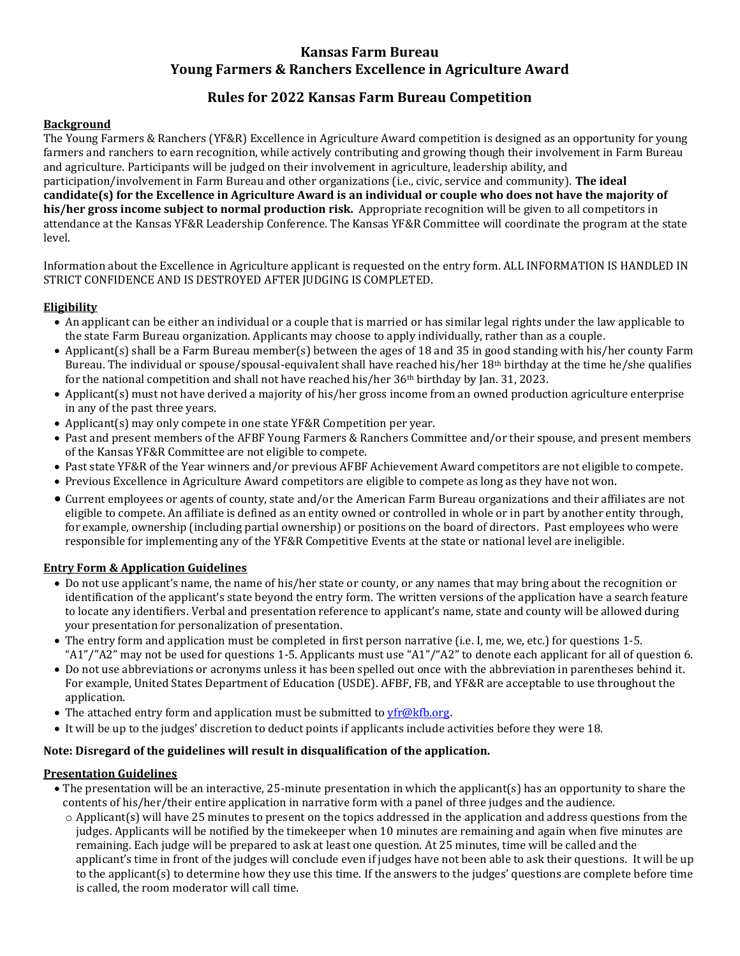# **Kansas Farm Bureau Young Farmers & Ranchers Excellence in Agriculture Award**

# **Rules for 2022 Kansas Farm Bureau Competition**

### **Background**

The Young Farmers & Ranchers (YF&R) Excellence in Agriculture Award competition is designed as an opportunity for young farmers and ranchers to earn recognition, while actively contributing and growing though their involvement in Farm Bureau and agriculture. Participants will be judged on their involvement in agriculture, leadership ability, and participation/involvement in Farm Bureau and other organizations (i.e., civic, service and community). **The ideal candidate(s) for the Excellence in Agriculture Award is an individual or couple who does not have the majority of his/her gross income subject to normal production risk.** Appropriate recognition will be given to all competitors in attendance at the Kansas YF&R Leadership Conference. The Kansas YF&R Committee will coordinate the program at the state level.

Information about the Excellence in Agriculture applicant is requested on the entry form. ALL INFORMATION IS HANDLED IN STRICT CONFIDENCE AND IS DESTROYED AFTER JUDGING IS COMPLETED.

### **Eligibility**

- An applicant can be either an individual or a couple that is married or has similar legal rights under the law applicable to the state Farm Bureau organization. Applicants may choose to apply individually, rather than as a couple.
- Applicant(s) shall be a Farm Bureau member(s) between the ages of 18 and 35 in good standing with his/her county Farm Bureau. The individual or spouse/spousal-equivalent shall have reached his/her 18<sup>th</sup> birthday at the time he/she qualifies for the national competition and shall not have reached his/her  $36<sup>th</sup>$  birthday by Jan. 31, 2023.
- Applicant(s) must not have derived a majority of his/her gross income from an owned production agriculture enterprise in any of the past three years.
- Applicant(s) may only compete in one state YF&R Competition per year.
- Past and present members of the AFBF Young Farmers & Ranchers Committee and/or their spouse, and present members of the Kansas YF&R Committee are not eligible to compete.
- Past state YF&R of the Year winners and/or previous AFBF Achievement Award competitors are not eligible to compete.
- Previous Excellence in Agriculture Award competitors are eligible to compete as long as they have not won.
- Current employees or agents of county, state and/or the American Farm Bureau organizations and their affiliates are not eligible to compete. An affiliate is defined as an entity owned or controlled in whole or in part by another entity through, for example, ownership (including partial ownership) or positions on the board of directors. Past employees who were responsible for implementing any of the YF&R Competitive Events at the state or national level are ineligible.

## **Entry Form & Application Guidelines**

- Do not use applicant's name, the name of his/her state or county, or any names that may bring about the recognition or identification of the applicant's state beyond the entry form. The written versions of the application have a search feature to locate any identifiers. Verbal and presentation reference to applicant's name, state and county will be allowed during your presentation for personalization of presentation.
- The entry form and application must be completed in first person narrative (i.e. I, me, we, etc.) for questions 1-5. "A1"/"A2" may not be used for questions 1-5. Applicants must use "A1"/"A2" to denote each applicant for all of question 6.
- Do not use abbreviations or acronyms unless it has been spelled out once with the abbreviation in parentheses behind it. For example, United States Department of Education (USDE). AFBF, FB, and YF&R are acceptable to use throughout the application.
- The attached entry form and application must be submitted to  $yfr@kfb.org$ .
- It will be up to the judges' discretion to deduct points if applicants include activities before they were 18.

## **Note: Disregard of the guidelines will result in disqualification of the application.**

## **Presentation Guidelines**

- The presentation will be an interactive, 25-minute presentation in which the applicant(s) has an opportunity to share the contents of his/her/their entire application in narrative form with a panel of three judges and the audience.
	- $\circ$  Applicant(s) will have 25 minutes to present on the topics addressed in the application and address questions from the judges. Applicants will be notified by the timekeeper when 10 minutes are remaining and again when five minutes are remaining. Each judge will be prepared to ask at least one question. At 25 minutes, time will be called and the applicant's time in front of the judges will conclude even if judges have not been able to ask their questions. It will be up to the applicant(s) to determine how they use this time. If the answers to the judges' questions are complete before time is called, the room moderator will call time.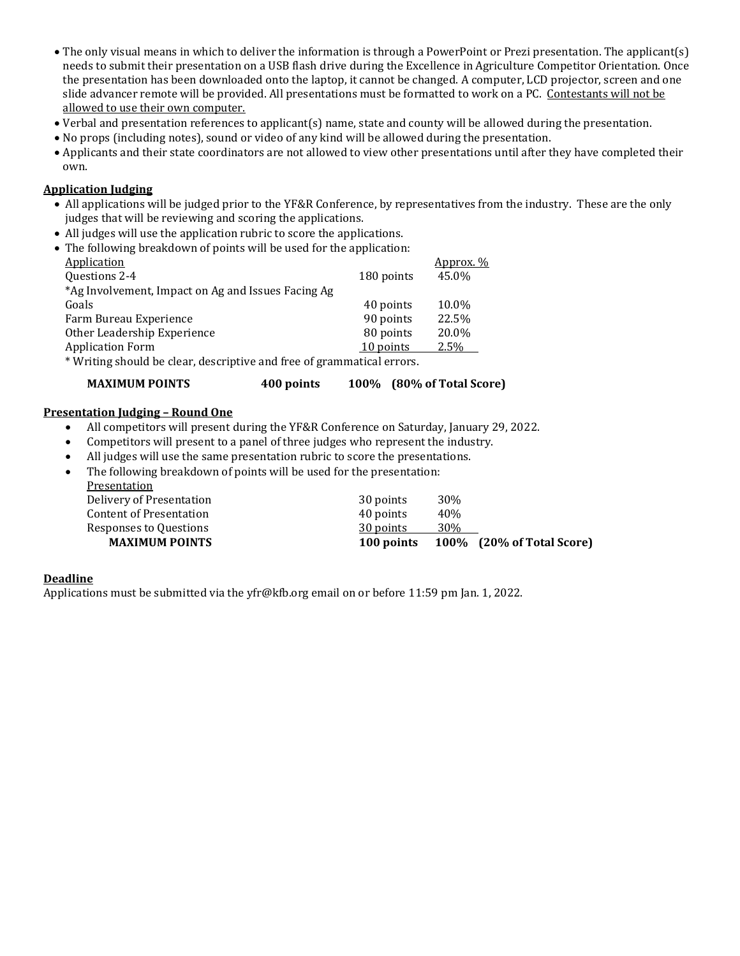- The only visual means in which to deliver the information is through a PowerPoint or Prezi presentation. The applicant(s) needs to submit their presentation on a USB flash drive during the Excellence in Agriculture Competitor Orientation. Once the presentation has been downloaded onto the laptop, it cannot be changed. A computer, LCD projector, screen and one slide advancer remote will be provided. All presentations must be formatted to work on a PC. Contestants will not be allowed to use their own computer.
- Verbal and presentation references to applicant(s) name, state and county will be allowed during the presentation.
- No props (including notes), sound or video of any kind will be allowed during the presentation.
- Applicants and their state coordinators are not allowed to view other presentations until after they have completed their own.

### **Application Judging**

- All applications will be judged prior to the YF&R Conference, by representatives from the industry. These are the only judges that will be reviewing and scoring the applications.
- All judges will use the application rubric to score the applications.
- The following breakdown of points will be used for the application:

| <b>Application</b>                                                   |            | <u>Approx. %</u> |  |  |
|----------------------------------------------------------------------|------------|------------------|--|--|
| Questions 2-4                                                        | 180 points | 45.0%            |  |  |
| *Ag Involvement, Impact on Ag and Issues Facing Ag                   |            |                  |  |  |
| Goals                                                                | 40 points  | 10.0%            |  |  |
| Farm Bureau Experience                                               | 90 points  | 22.5%            |  |  |
| Other Leadership Experience                                          | 80 points  | 20.0%            |  |  |
| <b>Application Form</b>                                              | 10 points  | 2.5%             |  |  |
| *Writing should be clear, descriptive and free of grammatical errors |            |                  |  |  |

Writing should be clear, descriptive and free of grammatical errors.

| 100% (80% of Total Score) | <b>MAXIMUM POINTS</b> | 400 points |  |  |
|---------------------------|-----------------------|------------|--|--|
|---------------------------|-----------------------|------------|--|--|

#### **Presentation Judging – Round One**

- All competitors will present during the YF&R Conference on Saturday, January 29, 2022.
- Competitors will present to a panel of three judges who represent the industry.
- All judges will use the same presentation rubric to score the presentations.
- The following breakdown of points will be used for the presentation:

| <b>MAXIMUM POINTS</b>    | 100 points |                 | <b>100%</b> (20% of Total Score) |
|--------------------------|------------|-----------------|----------------------------------|
| Responses to Questions   | 30 points  | 30%             |                                  |
| Content of Presentation  | 40 points  | 40%             |                                  |
| Delivery of Presentation | 30 points  | 30 <sub>%</sub> |                                  |
| Presentation             |            |                 |                                  |

#### **Deadline**

Applications must be submitted via the yfr@kfb.org email on or before 11:59 pm Jan. 1, 2022.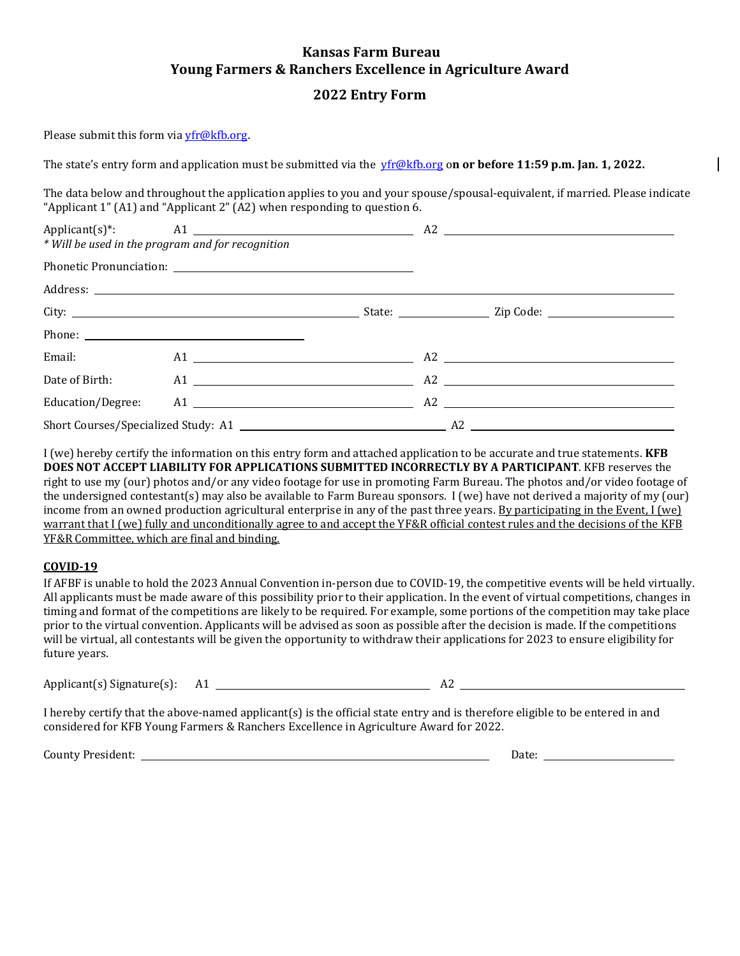# **Kansas Farm Bureau Young Farmers & Ranchers Excellence in Agriculture Award**

## **2022 Entry Form**

Please submit this form via [yfr@kfb.org](mailto:yfr@kfb.org).

The state's entry form and application must be submitted via the [yfr@kfb.org](mailto:yfr@kfb.org) o**n or before 11:59 p.m. Jan. 1, 2022.**

The data below and throughout the application applies to you and your spouse/spousal-equivalent, if married. Please indicate "Applicant 1" (A1) and "Applicant 2" (A2) when responding to question 6.

| * Will be used in the program and for recognition |                |  |  |  |  |
|---------------------------------------------------|----------------|--|--|--|--|
|                                                   |                |  |  |  |  |
|                                                   |                |  |  |  |  |
|                                                   |                |  |  |  |  |
|                                                   |                |  |  |  |  |
| Email: Email:                                     | $A1$ $A2$ $A3$ |  |  |  |  |
|                                                   |                |  |  |  |  |
|                                                   |                |  |  |  |  |
|                                                   |                |  |  |  |  |

I (we) hereby certify the information on this entry form and attached application to be accurate and true statements. **KFB DOES NOT ACCEPT LIABILITY FOR APPLICATIONS SUBMITTED INCORRECTLY BY A PARTICIPANT**. KFB reserves the right to use my (our) photos and/or any video footage for use in promoting Farm Bureau. The photos and/or video footage of the undersigned contestant(s) may also be available to Farm Bureau sponsors. I (we) have not derived a majority of my (our) income from an owned production agricultural enterprise in any of the past three years. By participating in the Event, I (we) warrant that I (we) fully and unconditionally agree to and accept the YF&R official contest rules and the decisions of the KFB YF&R Committee, which are final and binding.

#### **COVID-19**

If AFBF is unable to hold the 2023 Annual Convention in-person due to COVID-19, the competitive events will be held virtually. All applicants must be made aware of this possibility prior to their application. In the event of virtual competitions, changes in timing and format of the competitions are likely to be required. For example, some portions of the competition may take place prior to the virtual convention. Applicants will be advised as soon as possible after the decision is made. If the competitions will be virtual, all contestants will be given the opportunity to withdraw their applications for 2023 to ensure eligibility for future years.

Applicant(s) Signature(s): A1 A2

I hereby certify that the above-named applicant(s) is the official state entry and is therefore eligible to be entered in and considered for KFB Young Farmers & Ranchers Excellence in Agriculture Award for 2022.

County President: Date: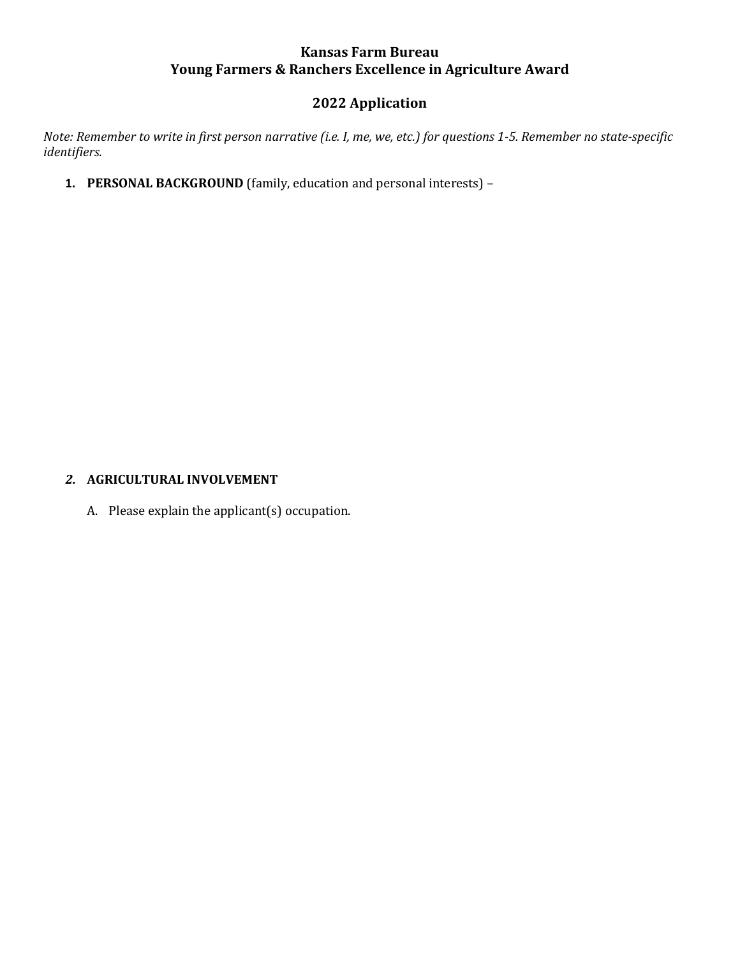# **Kansas Farm Bureau Young Farmers & Ranchers Excellence in Agriculture Award**

# **2022 Application**

*Note: Remember to write in first person narrative (i.e. I, me, we, etc.) for questions 1-5. Remember no state-specific identifiers.* 

**1. PERSONAL BACKGROUND** (family, education and personal interests) –

## *2.* **AGRICULTURAL INVOLVEMENT**

A. Please explain the applicant(s) occupation.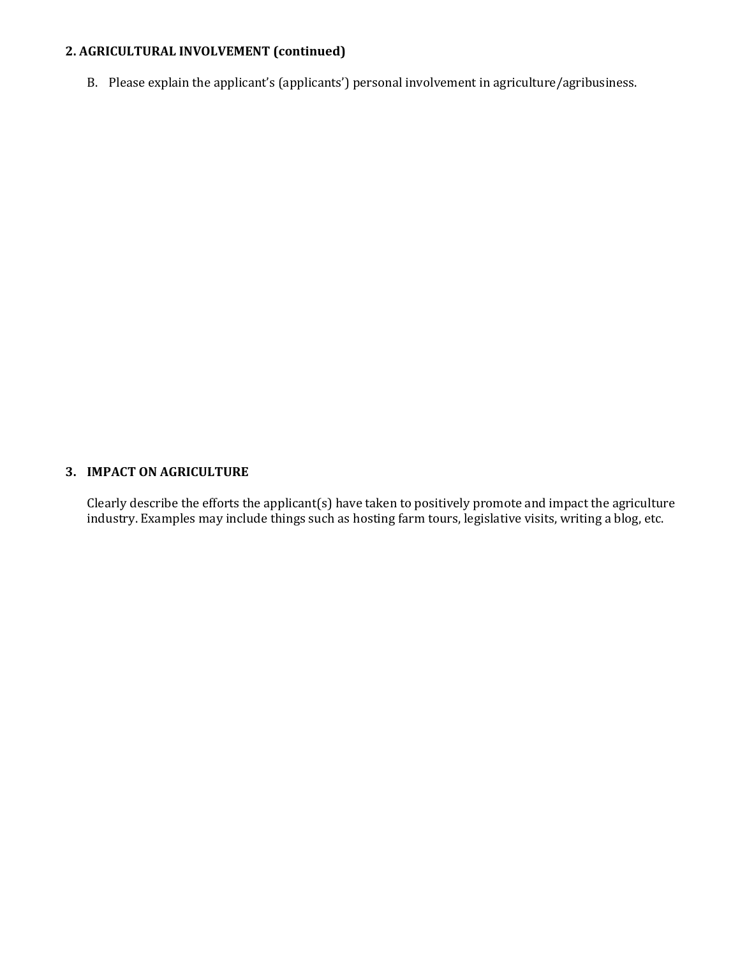# **2. AGRICULTURAL INVOLVEMENT (continued)**

B. Please explain the applicant's (applicants') personal involvement in agriculture/agribusiness.

# **3. IMPACT ON AGRICULTURE**

Clearly describe the efforts the applicant(s) have taken to positively promote and impact the agriculture industry. Examples may include things such as hosting farm tours, legislative visits, writing a blog, etc.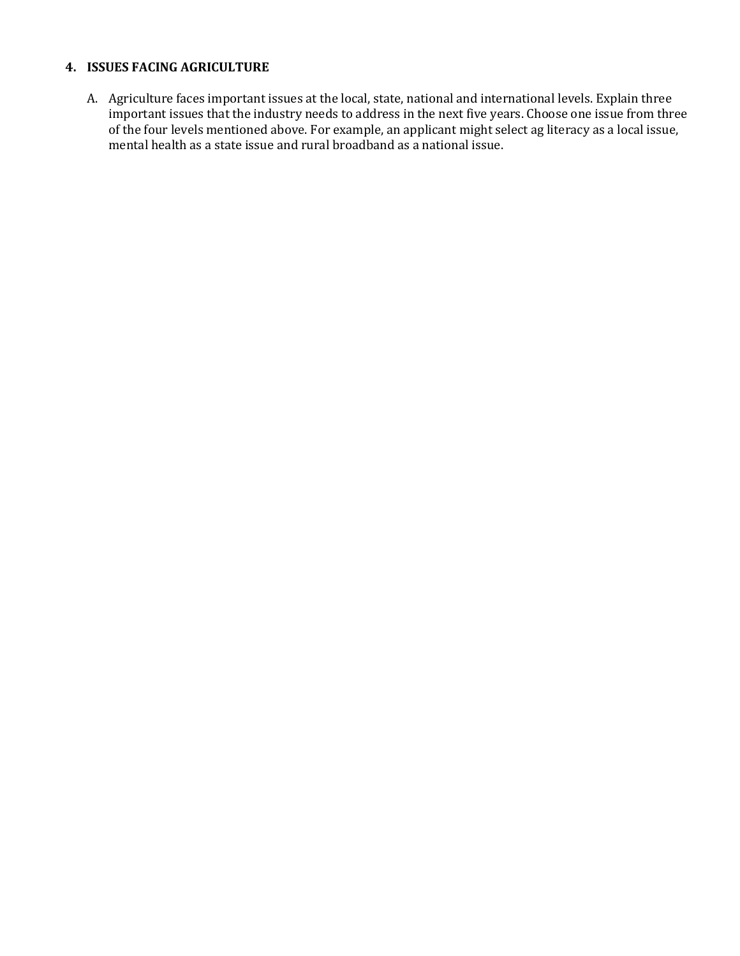## **4. ISSUES FACING AGRICULTURE**

A. Agriculture faces important issues at the local, state, national and international levels. Explain three important issues that the industry needs to address in the next five years. Choose one issue from three of the four levels mentioned above. For example, an applicant might select ag literacy as a local issue, mental health as a state issue and rural broadband as a national issue.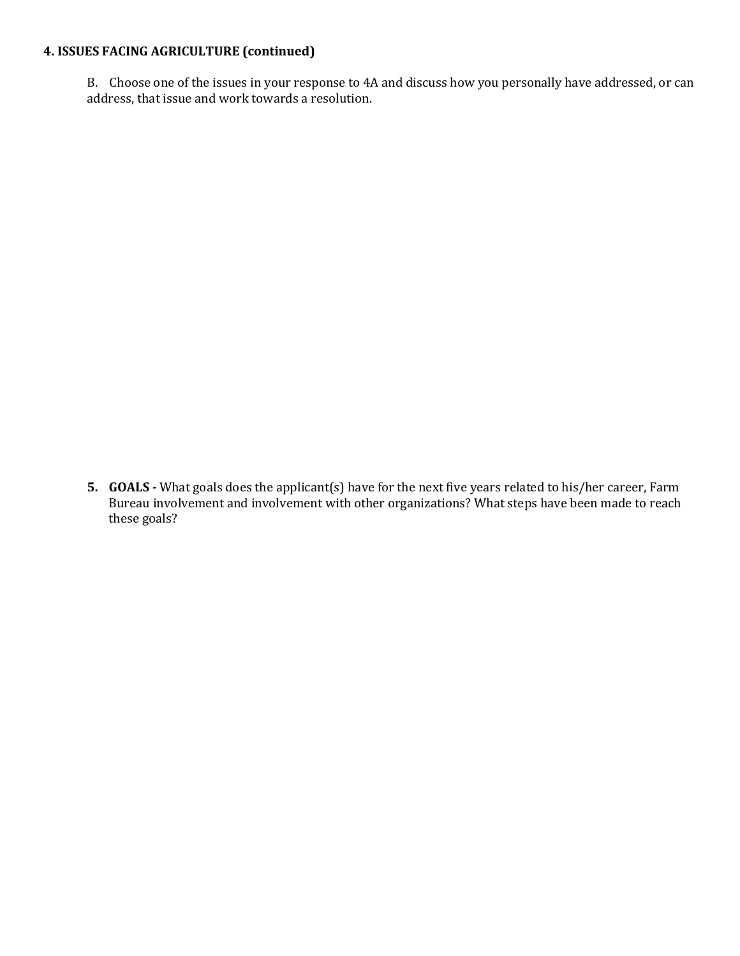# **4. ISSUES FACING AGRICULTURE (continued)**

B. Choose one of the issues in your response to 4A and discuss how you personally have addressed, or can address, that issue and work towards a resolution.

**5. GOALS** *-* What goals does the applicant(s) have for the next five years related to his/her career, Farm Bureau involvement and involvement with other organizations? What steps have been made to reach these goals?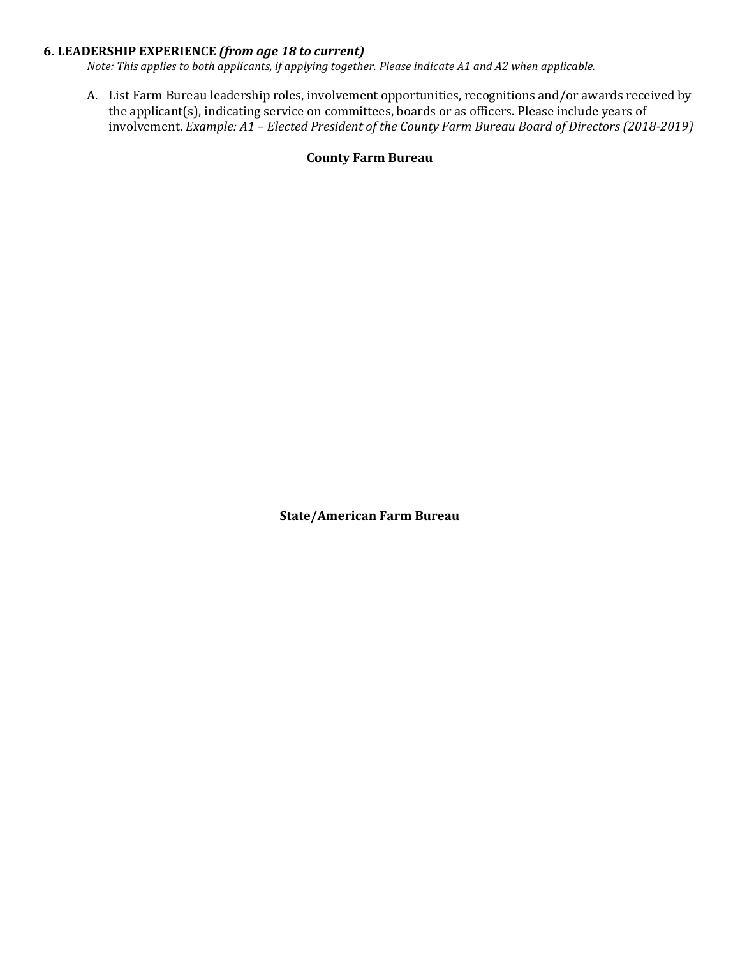## **6. LEADERSHIP EXPERIENCE** *(from age 18 to current)*

*Note: This applies to both applicants, if applying together. Please indicate A1 and A2 when applicable.*

A. List Farm Bureau leadership roles, involvement opportunities, recognitions and/or awards received by the applicant(s), indicating service on committees, boards or as officers. Please include years of involvement. *Example: A1 – Elected President of the County Farm Bureau Board of Directors (2018-2019)*

## **County Farm Bureau**

**State/American Farm Bureau**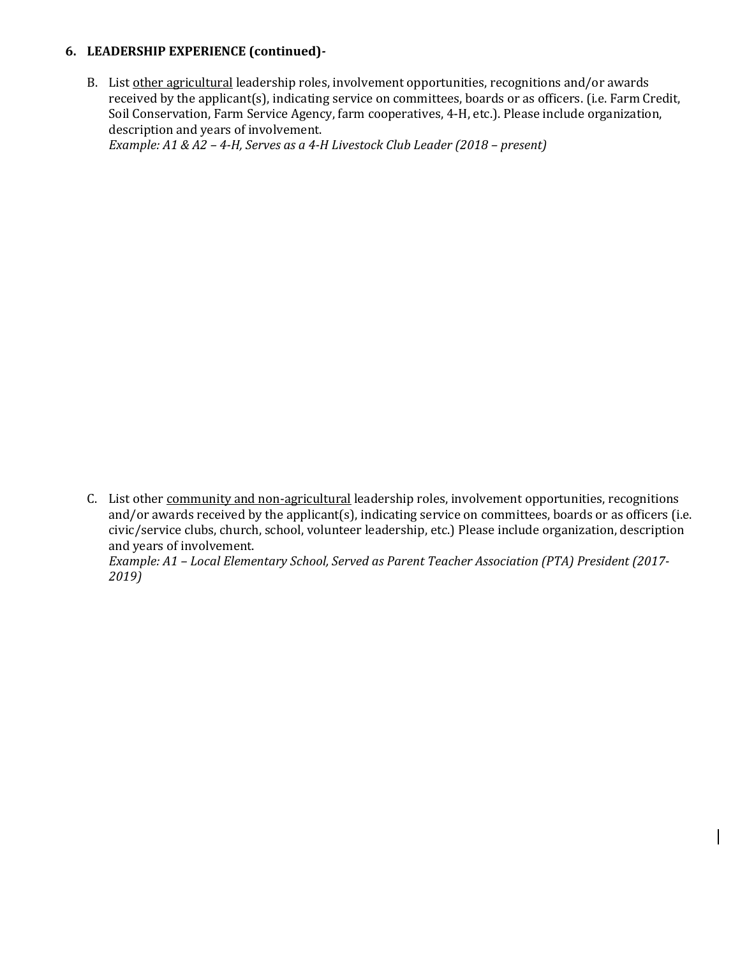# **6. LEADERSHIP EXPERIENCE (continued)***-*

B. List other agricultural leadership roles, involvement opportunities, recognitions and/or awards received by the applicant(s), indicating service on committees, boards or as officers. (i.e. Farm Credit, Soil Conservation, Farm Service Agency, farm cooperatives, 4-H, etc.). Please include organization, description and years of involvement.

*Example: A1 & A2 – 4-H, Serves as a 4-H Livestock Club Leader (2018 – present)*

C. List other community and non-agricultural leadership roles, involvement opportunities, recognitions and/or awards received by the applicant(s), indicating service on committees, boards or as officers (i.e. civic/service clubs, church, school, volunteer leadership, etc.) Please include organization, description and years of involvement. *Example: A1 – Local Elementary School, Served as Parent Teacher Association (PTA) President (2017-*

*2019)*